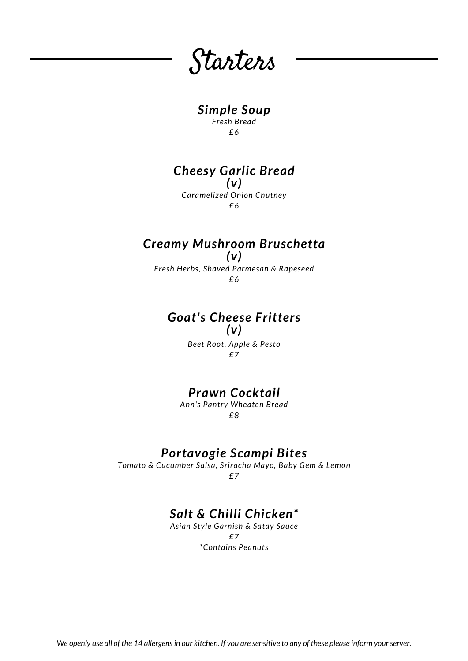Starters

# *Simple Soup*

*Fresh Bread £6*

#### *Cheesy Garlic Bread (v)*

*Caramelized Onion Chutney £6*

# *Creamy Mushroom Bruschetta*

*(v) Fresh Herbs, Shaved Parmesan & Rapeseed £6*

#### *Goat's Cheese Fritters (v)*

*Beet Root, Apple & Pesto £7*

# *Prawn Cocktail*

*Ann's Pantry Wheaten Bread £8*

## *Portavogie Scampi Bites*

*Tomato & Cucumber Salsa, Sriracha Mayo, Baby Gem & Lemon £7*

# *Salt & Chilli Chicken\**

*Asian Style Garnish & Satay Sauce £7 \*Contains Peanuts*

We openly use all of the 14 allergens in our kitchen. If you are sensitive to any of these please inform your server.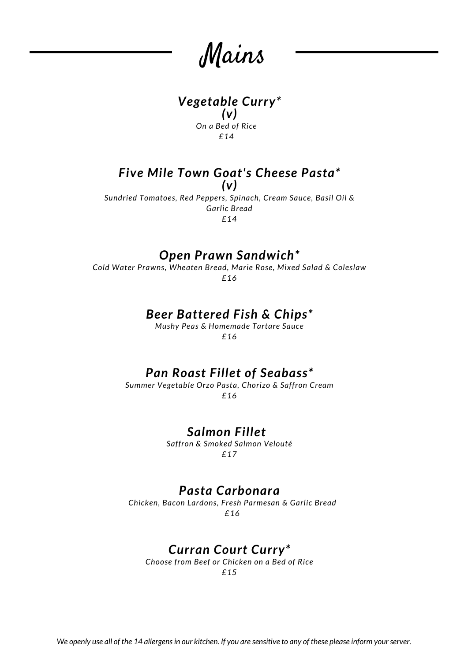Mains

#### *Vegetable Curry\* (v) On a Bed of Rice £14*

#### *Five Mile Town Goat's Cheese Pasta\* (v)*

*Sundried Tomatoes, Red Peppers, Spinach, Cream Sauce, Basil Oil & Garlic Bread £14*

# *Open Prawn Sandwich\**

*Cold Water Prawns, Wheaten Bread, Marie Rose, Mixed Salad & Coleslaw £16*

### *Beer Battered Fish & Chips\**

*Mushy Peas & Homemade Tartare Sauce £16*

### *Pan Roast Fillet of Seabass\**

*Summer Vegetable Orzo Pasta, Chorizo & Saffron Cream £16*

### *Salmon Fillet*

*Saffron & Smoked Salmon Velouté £17*

#### *Pasta Carbonara*

*Chicken, Bacon Lardons, Fresh Parmesan & Garlic Bread £16*

### *Curran Court Curry\**

*Choose from Beef or Chicken on a Bed of Rice £15*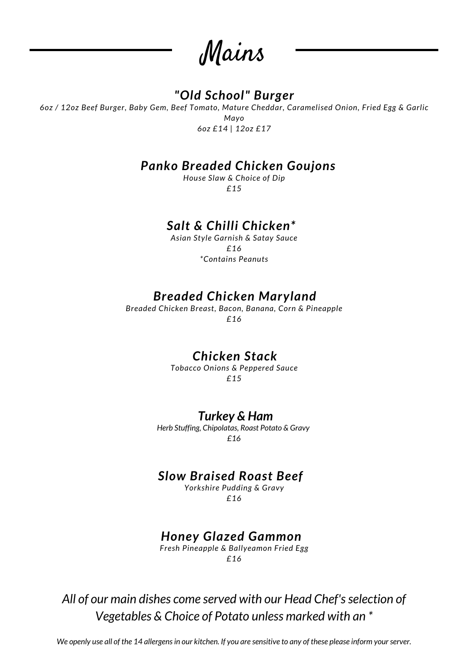Mains

# *"Old School" Burger*

*6oz / 12oz Beef Burger, Baby Gem, Beef Tomato, Mature Cheddar, Caramelised Onion, Fried Egg & Garlic Mayo 6oz £14 | 12oz £17*

### *Panko Breaded Chicken Goujons*

*House Slaw & Choice of Dip £15*

# *Salt & Chilli Chicken\**

*Asian Style Garnish & Satay Sauce £16 \*Contains Peanuts*

# *Breaded Chicken Maryland*

*Breaded Chicken Breast, Bacon, Banana, Corn & Pineapple £16*

## *Chicken Stack*

*Tobacco Onions & Peppered Sauce £15*

#### *Turkey & Ham*

*Herb Stuffing, Chipolatas, Roast Potato & Gravy £16*

# *Slow Braised Roast Beef*

*Yorkshire Pudding & Gravy £16*

## *Honey Glazed Gammon*

*Fresh Pineapple & Ballyeamon Fried Egg £16*

*All of our main dishes come served with our Head Chef'sselection of Vegetables & Choice of Potato unless marked with an \**

We openly use all of the 14 allergens in our kitchen. If you are sensitive to any of these please inform your server.